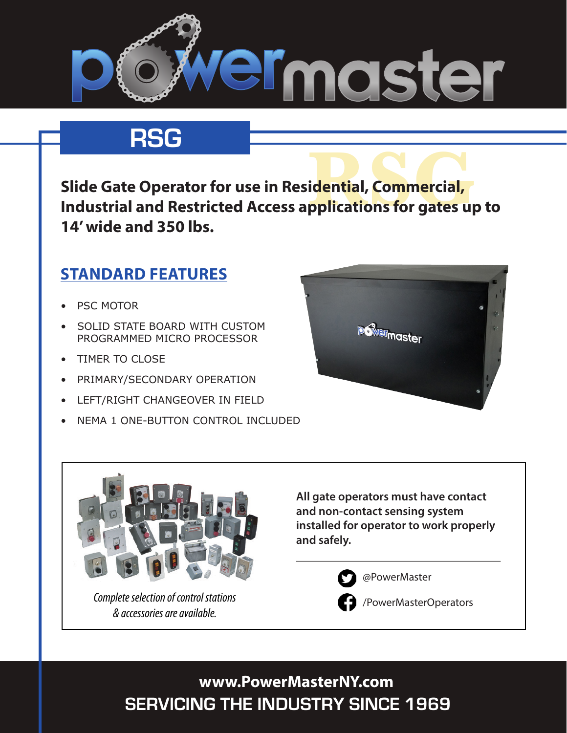

# **RSG**

**idential, Commercial,<br>pplications for gates up Slide Gate Operator for use in Residential, Commercial, Industrial and Restricted Access applications for gates up to 14' wide and 350 lbs.**

### **STANDARD FEATURES**

- **PSC MOTOR**
- SOLID STATE BOARD WITH CUSTOM PROGRAMMED MICRO PROCESSOR
- **TIMER TO CLOSE**
- PRIMARY/SECONDARY OPERATION
- • LEFT/RIGHT CHANGEOVER IN FIELD
- NEMA 1 ONE-BUTTON CONTROL INCLUDED





*Complete selection of control stations & accessories are available.*

**All gate operators must have contact and non-contact sensing system installed for operator to work properly and safely.** 



@PowerMaster



/PowerMasterOperators

**SERVICING THE INDUSTRY SINCE 1969 www.PowerMasterNY.com**